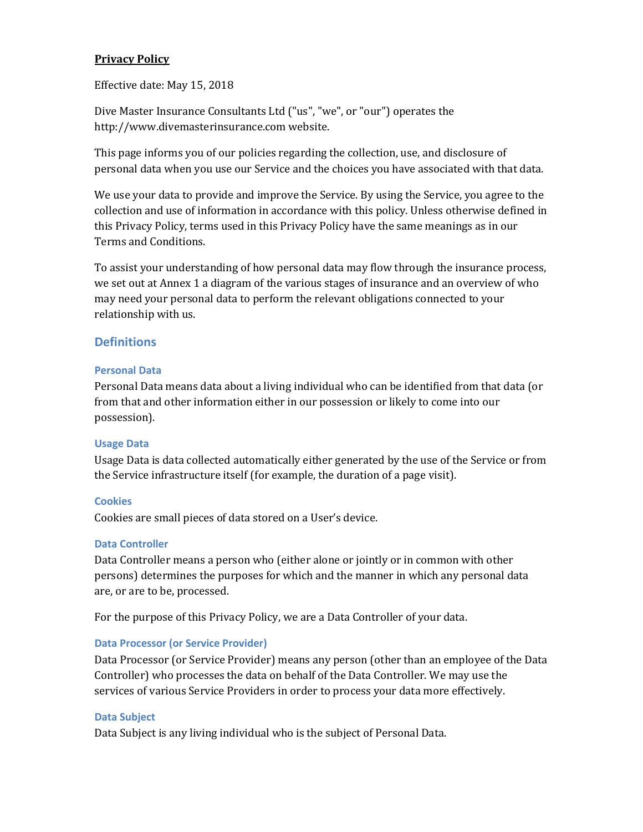### **Privacy Policy**

Effective date: May 15, 2018

Dive Master Insurance Consultants Ltd ("us", "we", or "our") operates the http://www.divemasterinsurance.com website.

This page informs you of our policies regarding the collection, use, and disclosure of personal data when you use our Service and the choices you have associated with that data.

We use your data to provide and improve the Service. By using the Service, you agree to the collection and use of information in accordance with this policy. Unless otherwise defined in this Privacy Policy, terms used in this Privacy Policy have the same meanings as in our Terms and Conditions.

To assist your understanding of how personal data may flow through the insurance process, we set out at Annex 1 a diagram of the various stages of insurance and an overview of who may need your personal data to perform the relevant obligations connected to your relationship with us.

# **Definitions**

#### **Personal Data**

Personal Data means data about a living individual who can be identified from that data (or from that and other information either in our possession or likely to come into our possession).

### **Usage Data**

Usage Data is data collected automatically either generated by the use of the Service or from the Service infrastructure itself (for example, the duration of a page visit).

### **Cookies**

Cookies are small pieces of data stored on a User's device.

#### **Data Controller**

Data Controller means a person who (either alone or jointly or in common with other persons) determines the purposes for which and the manner in which any personal data are, or are to be, processed.

For the purpose of this Privacy Policy, we are a Data Controller of your data.

#### **Data Processor (or Service Provider)**

Data Processor (or Service Provider) means any person (other than an employee of the Data Controller) who processes the data on behalf of the Data Controller. We may use the services of various Service Providers in order to process your data more effectively.

#### **Data Subject**

Data Subject is any living individual who is the subject of Personal Data.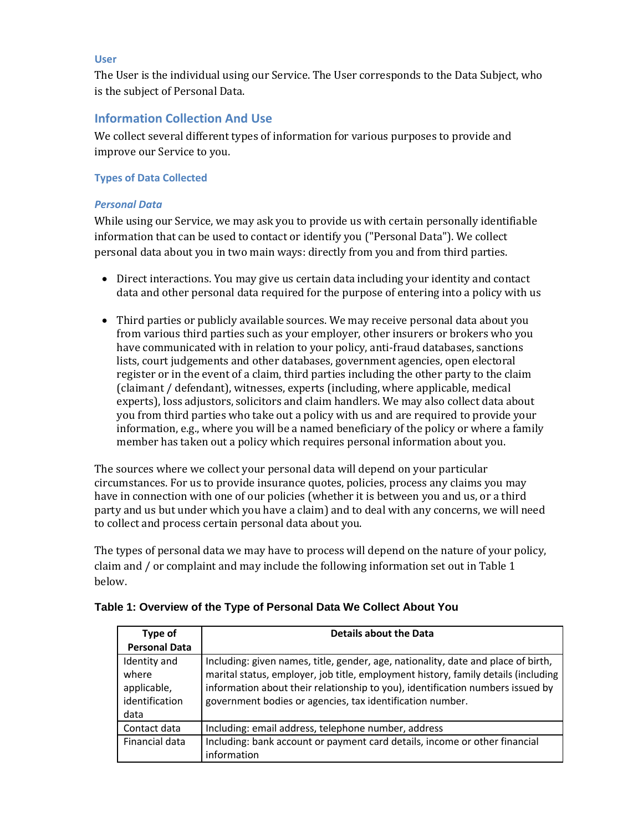#### **User**

The User is the individual using our Service. The User corresponds to the Data Subject, who is the subject of Personal Data.

# **Information Collection And Use**

We collect several different types of information for various purposes to provide and improve our Service to you.

#### **Types of Data Collected**

#### *Personal Data*

While using our Service, we may ask you to provide us with certain personally identifiable information that can be used to contact or identify you ("Personal Data"). We collect personal data about you in two main ways: directly from you and from third parties.

- Direct interactions. You may give us certain data including your identity and contact data and other personal data required for the purpose of entering into a policy with us
- Third parties or publicly available sources. We may receive personal data about you from various third parties such as your employer, other insurers or brokers who you have communicated with in relation to your policy, anti-fraud databases, sanctions lists, court judgements and other databases, government agencies, open electoral register or in the event of a claim, third parties including the other party to the claim (claimant / defendant), witnesses, experts (including, where applicable, medical experts), loss adjustors, solicitors and claim handlers. We may also collect data about you from third parties who take out a policy with us and are required to provide your information, e.g., where you will be a named beneficiary of the policy or where a family member has taken out a policy which requires personal information about you.

The sources where we collect your personal data will depend on your particular circumstances. For us to provide insurance quotes, policies, process any claims you may have in connection with one of our policies (whether it is between you and us, or a third party and us but under which you have a claim) and to deal with any concerns, we will need to collect and process certain personal data about you.

The types of personal data we may have to process will depend on the nature of your policy, claim and / or complaint and may include the following information set out in Table 1 below.

| Type of                                                        | <b>Details about the Data</b>                                                                                                                                                                                                                                                                                          |  |
|----------------------------------------------------------------|------------------------------------------------------------------------------------------------------------------------------------------------------------------------------------------------------------------------------------------------------------------------------------------------------------------------|--|
| <b>Personal Data</b>                                           |                                                                                                                                                                                                                                                                                                                        |  |
| Identity and<br>where<br>applicable,<br>identification<br>data | Including: given names, title, gender, age, nationality, date and place of birth,<br>marital status, employer, job title, employment history, family details (including<br>information about their relationship to you), identification numbers issued by<br>government bodies or agencies, tax identification number. |  |
| Contact data                                                   | Including: email address, telephone number, address                                                                                                                                                                                                                                                                    |  |
| Financial data                                                 | Including: bank account or payment card details, income or other financial<br>information                                                                                                                                                                                                                              |  |

### **Table 1: Overview of the Type of Personal Data We Collect About You**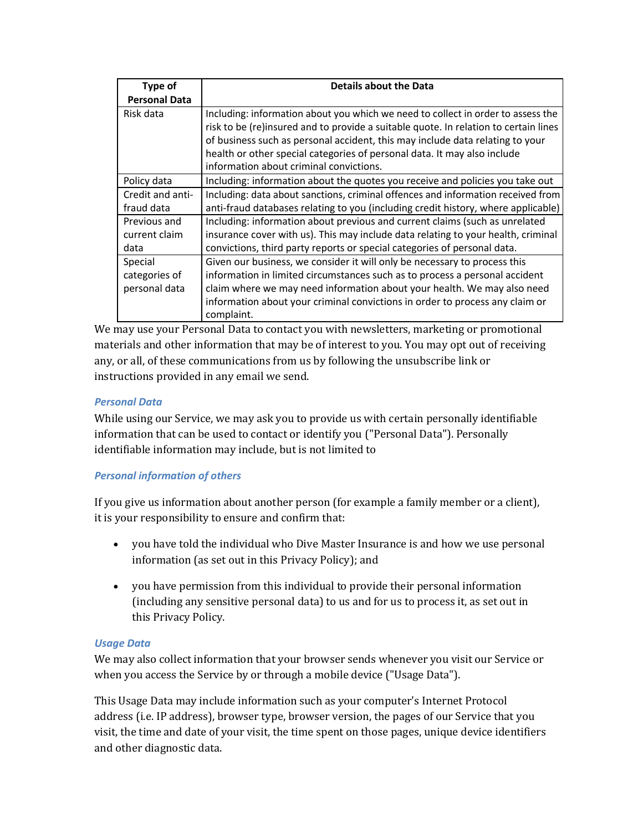| Type of              | <b>Details about the Data</b>                                                        |
|----------------------|--------------------------------------------------------------------------------------|
| <b>Personal Data</b> |                                                                                      |
| Risk data            | Including: information about you which we need to collect in order to assess the     |
|                      | risk to be (re)insured and to provide a suitable quote. In relation to certain lines |
|                      | of business such as personal accident, this may include data relating to your        |
|                      | health or other special categories of personal data. It may also include             |
|                      | information about criminal convictions.                                              |
| Policy data          | Including: information about the quotes you receive and policies you take out        |
| Credit and anti-     | Including: data about sanctions, criminal offences and information received from     |
| fraud data           | anti-fraud databases relating to you (including credit history, where applicable)    |
| Previous and         | Including: information about previous and current claims (such as unrelated          |
| current claim        | insurance cover with us). This may include data relating to your health, criminal    |
| data                 | convictions, third party reports or special categories of personal data.             |
| Special              | Given our business, we consider it will only be necessary to process this            |
| categories of        | information in limited circumstances such as to process a personal accident          |
| personal data        | claim where we may need information about your health. We may also need              |
|                      | information about your criminal convictions in order to process any claim or         |
|                      | complaint.                                                                           |

We may use your Personal Data to contact you with newsletters, marketing or promotional materials and other information that may be of interest to you. You may opt out of receiving any, or all, of these communications from us by following the unsubscribe link or instructions provided in any email we send.

### *Personal Data*

While using our Service, we may ask you to provide us with certain personally identifiable information that can be used to contact or identify you ("Personal Data"). Personally identifiable information may include, but is not limited to

### *Personal information of others*

If you give us information about another person (for example a family member or a client), it is your responsibility to ensure and confirm that:

- you have told the individual who Dive Master Insurance is and how we use personal information (as set out in this Privacy Policy); and
- you have permission from this individual to provide their personal information (including any sensitive personal data) to us and for us to process it, as set out in this Privacy Policy.

#### *Usage Data*

We may also collect information that your browser sends whenever you visit our Service or when you access the Service by or through a mobile device ("Usage Data").

This Usage Data may include information such as your computer's Internet Protocol address (i.e. IP address), browser type, browser version, the pages of our Service that you visit, the time and date of your visit, the time spent on those pages, unique device identifiers and other diagnostic data.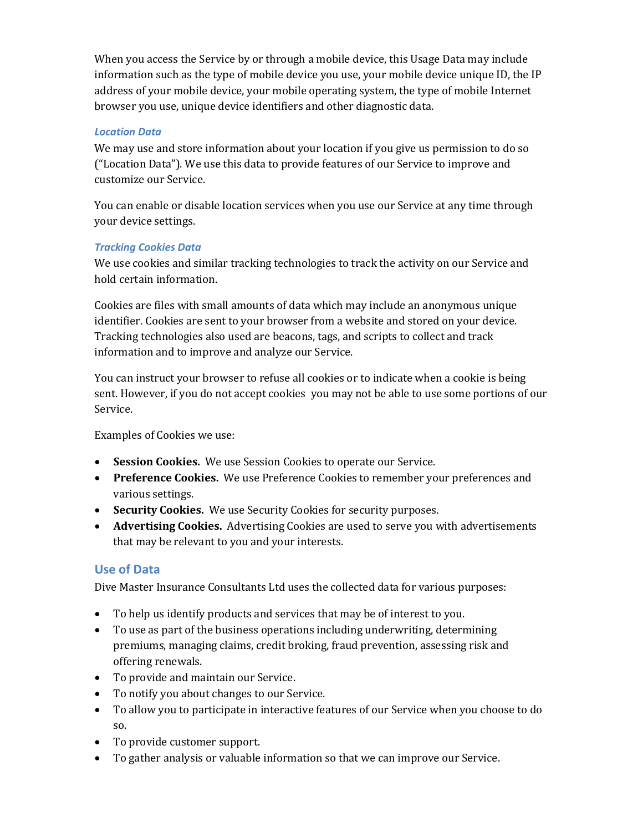When you access the Service by or through a mobile device, this Usage Data may include information such as the type of mobile device you use, your mobile device unique ID, the IP address of your mobile device, your mobile operating system, the type of mobile Internet browser you use, unique device identifiers and other diagnostic data.

## *Location Data*

We may use and store information about your location if you give us permission to do so ("Location Data"). We use this data to provide features of our Service to improve and customize our Service.

You can enable or disable location services when you use our Service at any time through your device settings.

## *Tracking Cookies Data*

We use cookies and similar tracking technologies to track the activity on our Service and hold certain information.

Cookies are files with small amounts of data which may include an anonymous unique identifier. Cookies are sent to your browser from a website and stored on your device. Tracking technologies also used are beacons, tags, and scripts to collect and track information and to improve and analyze our Service.

You can instruct your browser to refuse all cookies or to indicate when a cookie is being sent. However, if you do not accept cookies you may not be able to use some portions of our Service.

Examples of Cookies we use:

- **Session Cookies.** We use Session Cookies to operate our Service.
- **Preference Cookies.** We use Preference Cookies to remember your preferences and various settings.
- **Security Cookies.** We use Security Cookies for security purposes.
- **Advertising Cookies.** Advertising Cookies are used to serve you with advertisements that may be relevant to you and your interests.

# **Use of Data**

Dive Master Insurance Consultants Ltd uses the collected data for various purposes:

- To help us identify products and services that may be of interest to you.
- To use as part of the business operations including underwriting, determining premiums, managing claims, credit broking, fraud prevention, assessing risk and offering renewals.
- To provide and maintain our Service.
- To notify you about changes to our Service.
- To allow you to participate in interactive features of our Service when you choose to do so.
- To provide customer support.
- To gather analysis or valuable information so that we can improve our Service.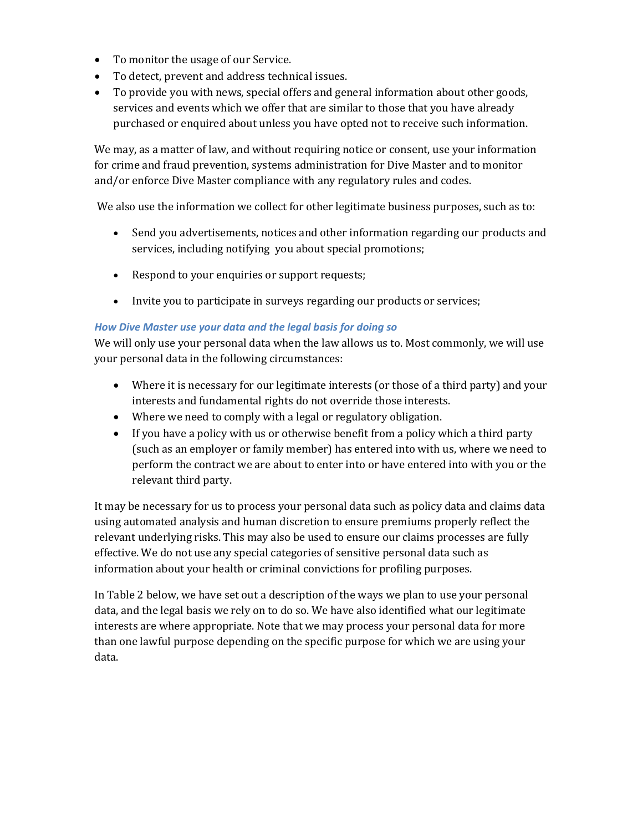- To monitor the usage of our Service.
- To detect, prevent and address technical issues.
- To provide you with news, special offers and general information about other goods, services and events which we offer that are similar to those that you have already purchased or enquired about unless you have opted not to receive such information.

We may, as a matter of law, and without requiring notice or consent, use your information for crime and fraud prevention, systems administration for Dive Master and to monitor and/or enforce Dive Master compliance with any regulatory rules and codes.

We also use the information we collect for other legitimate business purposes, such as to:

- Send you advertisements, notices and other information regarding our products and services, including notifying you about special promotions;
- Respond to your enquiries or support requests;
- Invite you to participate in surveys regarding our products or services;

### *How Dive Master use your data and the legal basis for doing so*

We will only use your personal data when the law allows us to. Most commonly, we will use your personal data in the following circumstances:

- Where it is necessary for our legitimate interests (or those of a third party) and your interests and fundamental rights do not override those interests.
- Where we need to comply with a legal or regulatory obligation.
- If you have a policy with us or otherwise benefit from a policy which a third party (such as an employer or family member) has entered into with us, where we need to perform the contract we are about to enter into or have entered into with you or the relevant third party.

It may be necessary for us to process your personal data such as policy data and claims data using automated analysis and human discretion to ensure premiums properly reflect the relevant underlying risks. This may also be used to ensure our claims processes are fully effective. We do not use any special categories of sensitive personal data such as information about your health or criminal convictions for profiling purposes.

In Table 2 below, we have set out a description of the ways we plan to use your personal data, and the legal basis we rely on to do so. We have also identified what our legitimate interests are where appropriate. Note that we may process your personal data for more than one lawful purpose depending on the specific purpose for which we are using your data.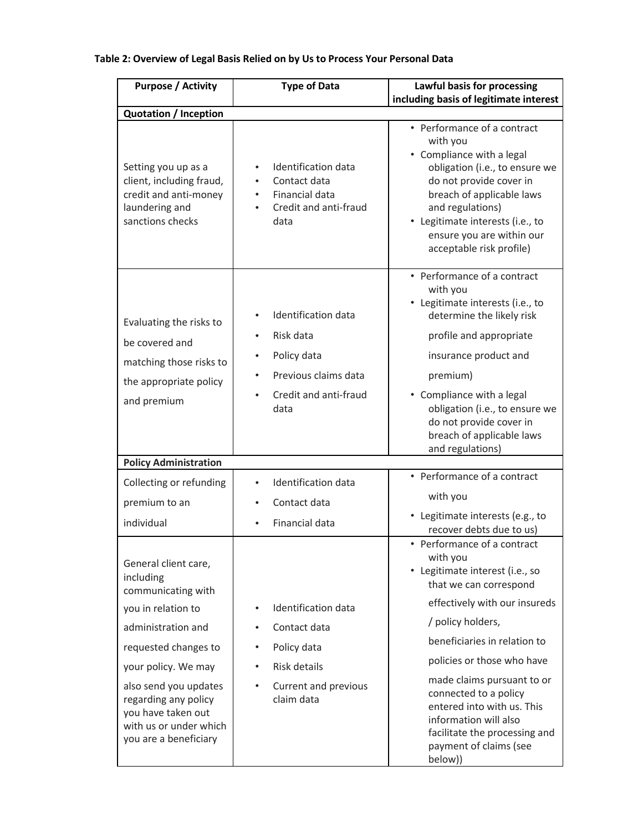# **Table 2: Overview of Legal Basis Relied on by Us to Process Your Personal Data**

| <b>Purpose / Activity</b>                                                                                                                                                                                                                                                    | <b>Type of Data</b>                                                                                                                | Lawful basis for processing<br>including basis of legitimate interest                                                                                                                                                                                                                                                                                                                             |  |  |  |
|------------------------------------------------------------------------------------------------------------------------------------------------------------------------------------------------------------------------------------------------------------------------------|------------------------------------------------------------------------------------------------------------------------------------|---------------------------------------------------------------------------------------------------------------------------------------------------------------------------------------------------------------------------------------------------------------------------------------------------------------------------------------------------------------------------------------------------|--|--|--|
| <b>Quotation / Inception</b>                                                                                                                                                                                                                                                 |                                                                                                                                    |                                                                                                                                                                                                                                                                                                                                                                                                   |  |  |  |
| Setting you up as a<br>client, including fraud,<br>credit and anti-money<br>laundering and<br>sanctions checks                                                                                                                                                               | Identification data<br>$\bullet$<br>Contact data<br>$\bullet$<br>Financial data<br>$\bullet$<br>Credit and anti-fraud<br>data      | • Performance of a contract<br>with you<br>• Compliance with a legal<br>obligation (i.e., to ensure we<br>do not provide cover in<br>breach of applicable laws<br>and regulations)<br>• Legitimate interests (i.e., to<br>ensure you are within our<br>acceptable risk profile)                                                                                                                   |  |  |  |
| Evaluating the risks to<br>be covered and<br>matching those risks to<br>the appropriate policy<br>and premium                                                                                                                                                                | Identification data<br>Risk data<br>Policy data<br>$\bullet$<br>Previous claims data<br>Credit and anti-fraud<br>data              | • Performance of a contract<br>with you<br>• Legitimate interests (i.e., to<br>determine the likely risk<br>profile and appropriate<br>insurance product and<br>premium)<br>• Compliance with a legal<br>obligation (i.e., to ensure we<br>do not provide cover in<br>breach of applicable laws<br>and regulations)                                                                               |  |  |  |
| <b>Policy Administration</b>                                                                                                                                                                                                                                                 |                                                                                                                                    |                                                                                                                                                                                                                                                                                                                                                                                                   |  |  |  |
| Collecting or refunding<br>premium to an<br>individual                                                                                                                                                                                                                       | Identification data<br>$\bullet$<br>Contact data<br>Financial data                                                                 | • Performance of a contract<br>with you<br>• Legitimate interests (e.g., to<br>recover debts due to us)                                                                                                                                                                                                                                                                                           |  |  |  |
| General client care,<br>including<br>communicating with<br>you in relation to<br>administration and<br>requested changes to<br>your policy. We may<br>also send you updates<br>regarding any policy<br>you have taken out<br>with us or under which<br>you are a beneficiary | Identification data<br>$\bullet$<br>Contact data<br>Policy data<br>Risk details<br>$\bullet$<br>Current and previous<br>claim data | • Performance of a contract<br>with you<br>• Legitimate interest (i.e., so<br>that we can correspond<br>effectively with our insureds<br>/ policy holders,<br>beneficiaries in relation to<br>policies or those who have<br>made claims pursuant to or<br>connected to a policy<br>entered into with us. This<br>information will also<br>facilitate the processing and<br>payment of claims (see |  |  |  |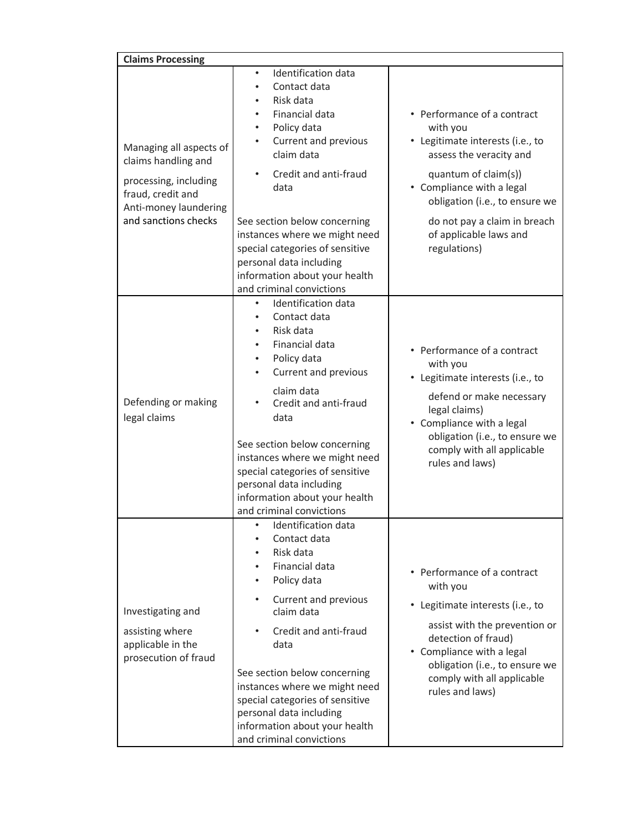| <b>Claims Processing</b>                                                                                                                      |                                                                                                                                                                                                                                                                                                                                                                                                                                                                |                                                                                                                                                                                                                                                                         |
|-----------------------------------------------------------------------------------------------------------------------------------------------|----------------------------------------------------------------------------------------------------------------------------------------------------------------------------------------------------------------------------------------------------------------------------------------------------------------------------------------------------------------------------------------------------------------------------------------------------------------|-------------------------------------------------------------------------------------------------------------------------------------------------------------------------------------------------------------------------------------------------------------------------|
| Managing all aspects of<br>claims handling and<br>processing, including<br>fraud, credit and<br>Anti-money laundering<br>and sanctions checks | Identification data<br>$\bullet$<br>Contact data<br>$\bullet$<br>Risk data<br>$\bullet$<br>Financial data<br>٠<br>Policy data<br>$\bullet$<br>Current and previous<br>claim data<br>Credit and anti-fraud<br>data<br>See section below concerning<br>instances where we might need<br>special categories of sensitive<br>personal data including<br>information about your health                                                                              | • Performance of a contract<br>with you<br>• Legitimate interests (i.e., to<br>assess the veracity and<br>quantum of claim(s))<br>• Compliance with a legal<br>obligation (i.e., to ensure we<br>do not pay a claim in breach<br>of applicable laws and<br>regulations) |
| Defending or making<br>legal claims                                                                                                           | and criminal convictions<br>Identification data<br>$\bullet$<br>Contact data<br>$\bullet$<br>Risk data<br>$\bullet$<br>Financial data<br>$\bullet$<br>Policy data<br>$\bullet$<br>Current and previous<br>$\bullet$<br>claim data<br>Credit and anti-fraud<br>data<br>See section below concerning<br>instances where we might need<br>special categories of sensitive<br>personal data including<br>information about your health<br>and criminal convictions | • Performance of a contract<br>with you<br>• Legitimate interests (i.e., to<br>defend or make necessary<br>legal claims)<br>• Compliance with a legal<br>obligation (i.e., to ensure we<br>comply with all applicable<br>rules and laws)                                |
| Investigating and<br>assisting where<br>applicable in the<br>prosecution of fraud                                                             | · Identification data<br>Contact data<br>Risk data<br><b>Financial data</b><br>Policy data<br>Current and previous<br>claim data<br>Credit and anti-fraud<br>data<br>See section below concerning<br>instances where we might need<br>special categories of sensitive<br>personal data including<br>information about your health<br>and criminal convictions                                                                                                  | • Performance of a contract<br>with you<br>• Legitimate interests (i.e., to<br>assist with the prevention or<br>detection of fraud)<br>• Compliance with a legal<br>obligation (i.e., to ensure we<br>comply with all applicable<br>rules and laws)                     |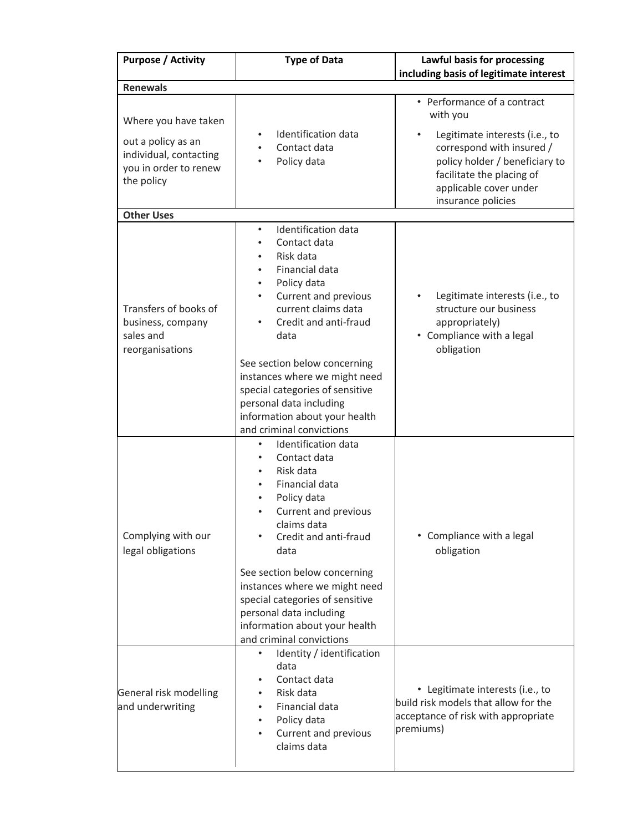| <b>Purpose / Activity</b>                                                           | <b>Type of Data</b>                                                                                                                                                                                                                                                                                                                                                    | Lawful basis for processing                                                                                                                                                |  |
|-------------------------------------------------------------------------------------|------------------------------------------------------------------------------------------------------------------------------------------------------------------------------------------------------------------------------------------------------------------------------------------------------------------------------------------------------------------------|----------------------------------------------------------------------------------------------------------------------------------------------------------------------------|--|
| <b>Renewals</b>                                                                     |                                                                                                                                                                                                                                                                                                                                                                        | including basis of legitimate interest                                                                                                                                     |  |
| Where you have taken                                                                |                                                                                                                                                                                                                                                                                                                                                                        | • Performance of a contract<br>with you                                                                                                                                    |  |
| out a policy as an<br>individual, contacting<br>you in order to renew<br>the policy | Identification data<br>Contact data<br>Policy data                                                                                                                                                                                                                                                                                                                     | Legitimate interests (i.e., to<br>correspond with insured /<br>policy holder / beneficiary to<br>facilitate the placing of<br>applicable cover under<br>insurance policies |  |
| <b>Other Uses</b>                                                                   |                                                                                                                                                                                                                                                                                                                                                                        |                                                                                                                                                                            |  |
| Transfers of books of<br>business, company<br>sales and<br>reorganisations          | Identification data<br>$\bullet$<br>Contact data<br>٠<br>Risk data<br>$\bullet$<br>Financial data<br>$\bullet$<br>Policy data<br>$\bullet$<br>Current and previous<br>$\bullet$<br>current claims data<br>Credit and anti-fraud<br>data<br>See section below concerning<br>instances where we might need<br>special categories of sensitive<br>personal data including | Legitimate interests (i.e., to<br>$\bullet$<br>structure our business<br>appropriately)<br>• Compliance with a legal<br>obligation                                         |  |
|                                                                                     | information about your health<br>and criminal convictions<br>Identification data<br>$\bullet$                                                                                                                                                                                                                                                                          |                                                                                                                                                                            |  |
| Complying with our<br>legal obligations                                             | Contact data<br>$\bullet$<br>Risk data<br>$\bullet$<br>Financial data<br>$\bullet$<br>Policy data<br>$\bullet$<br>Current and previous<br>claims data<br>Credit and anti-fraud<br>data                                                                                                                                                                                 | • Compliance with a legal<br>obligation                                                                                                                                    |  |
|                                                                                     | See section below concerning<br>instances where we might need<br>special categories of sensitive<br>personal data including<br>information about your health<br>and criminal convictions                                                                                                                                                                               |                                                                                                                                                                            |  |
| General risk modelling<br>and underwriting                                          | Identity / identification<br>$\bullet$<br>data<br>Contact data<br>$\bullet$<br>Risk data<br>$\bullet$<br>Financial data<br>$\bullet$<br>Policy data<br>$\bullet$<br>Current and previous<br>claims data                                                                                                                                                                | • Legitimate interests (i.e., to<br>build risk models that allow for the<br>acceptance of risk with appropriate<br>premiums)                                               |  |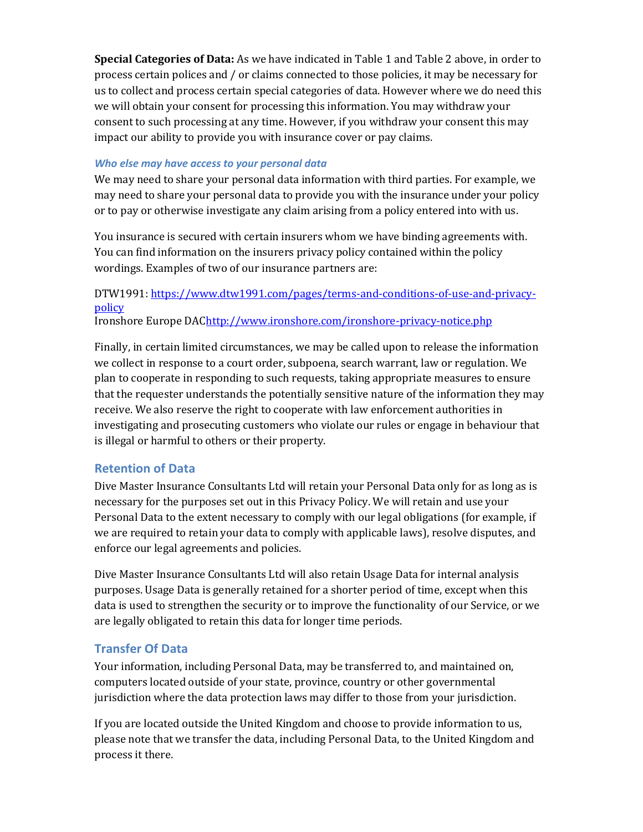**Special Categories of Data:** As we have indicated in Table 1 and Table 2 above, in order to process certain polices and / or claims connected to those policies, it may be necessary for us to collect and process certain special categories of data. However where we do need this we will obtain your consent for processing this information. You may withdraw your consent to such processing at any time. However, if you withdraw your consent this may impact our ability to provide you with insurance cover or pay claims.

#### *Who else may have access to your personal data*

We may need to share your personal data information with third parties. For example, we may need to share your personal data to provide you with the insurance under your policy or to pay or otherwise investigate any claim arising from a policy entered into with us.

You insurance is secured with certain insurers whom we have binding agreements with. You can find information on the insurers privacy policy contained within the policy wordings. Examples of two of our insurance partners are:

# DTW1991[: https://www.dtw1991.com/pages/terms-and-conditions-of-use-and-privacy](https://www.dtw1991.com/pages/terms-and-conditions-of-use-and-privacy-policy)[policy](https://www.dtw1991.com/pages/terms-and-conditions-of-use-and-privacy-policy)

Ironshore Europe DA[Chttp://www.ironshore.com/ironshore-privacy-notice.php](http://www.ironshore.com/ironshore-privacy-notice.php)

Finally, in certain limited circumstances, we may be called upon to release the information we collect in response to a court order, subpoena, search warrant, law or regulation. We plan to cooperate in responding to such requests, taking appropriate measures to ensure that the requester understands the potentially sensitive nature of the information they may receive. We also reserve the right to cooperate with law enforcement authorities in investigating and prosecuting customers who violate our rules or engage in behaviour that is illegal or harmful to others or their property.

# **Retention of Data**

Dive Master Insurance Consultants Ltd will retain your Personal Data only for as long as is necessary for the purposes set out in this Privacy Policy. We will retain and use your Personal Data to the extent necessary to comply with our legal obligations (for example, if we are required to retain your data to comply with applicable laws), resolve disputes, and enforce our legal agreements and policies.

Dive Master Insurance Consultants Ltd will also retain Usage Data for internal analysis purposes. Usage Data is generally retained for a shorter period of time, except when this data is used to strengthen the security or to improve the functionality of our Service, or we are legally obligated to retain this data for longer time periods.

# **Transfer Of Data**

Your information, including Personal Data, may be transferred to, and maintained on, computers located outside of your state, province, country or other governmental jurisdiction where the data protection laws may differ to those from your jurisdiction.

If you are located outside the United Kingdom and choose to provide information to us, please note that we transfer the data, including Personal Data, to the United Kingdom and process it there.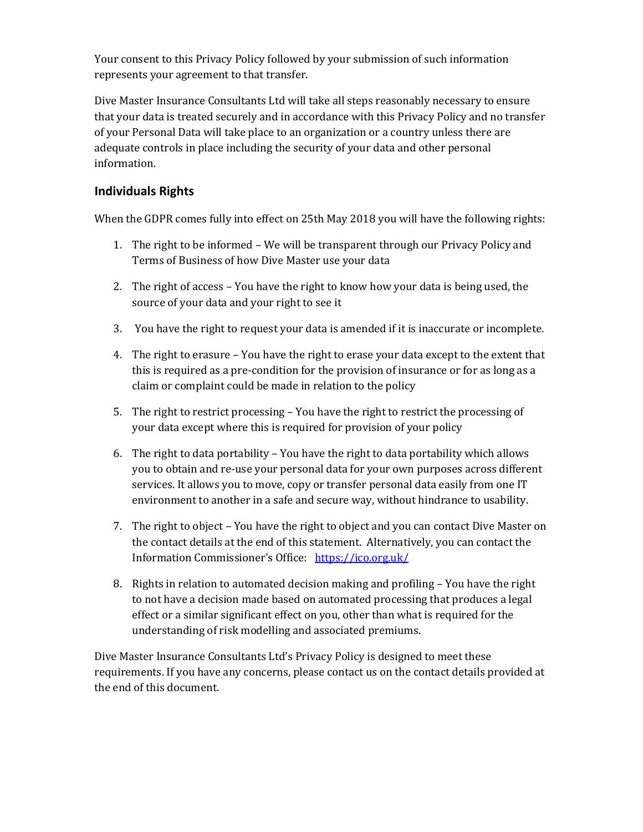Your consent to this Privacy Policy followed by your submission of such information represents your agreement to that transfer.

Dive Master Insurance Consultants Ltd will take all steps reasonably necessary to ensure that your data is treated securely and in accordance with this Privacy Policy and no transfer of your Personal Data will take place to an organization or a country unless there are adequate controls in place including the security of your data and other personal information.

# **Individuals Rights**

When the GDPR comes fully into effect on 25th May 2018 you will have the following rights:

- 1. The right to be informed We will be transparent through our Privacy Policy and Terms of Business of how Dive Master use your data
- 2. The right of access You have the right to know how your data is being used, the source of your data and your right to see it
- 3. You have the right to request your data is amended if it is inaccurate or incomplete.
- 4. The right to erasure You have the right to erase your data except to the extent that this is required as a pre-condition for the provision of insurance or for as long as a claim or complaint could be made in relation to the policy
- 5. The right to restrict processing You have the right to restrict the processing of your data except where this is required for provision of your policy
- 6. The right to data portability You have the right to data portability which allows you to obtain and re-use your personal data for your own purposes across different services. It allows you to move, copy or transfer personal data easily from one IT environment to another in a safe and secure way, without hindrance to usability.
- 7. The right to object You have the right to object and you can contact Dive Master on the contact details at the end of this statement. Alternatively, you can contact the Information Commissioner's Office: <https://ico.org.uk/>
- 8. Rights in relation to automated decision making and profiling You have the right to not have a decision made based on automated processing that produces a legal effect or a similar significant effect on you, other than what is required for the understanding of risk modelling and associated premiums.

Dive Master Insurance Consultants Ltd's Privacy Policy is designed to meet these requirements. If you have any concerns, please contact us on the contact details provided at the end of this document.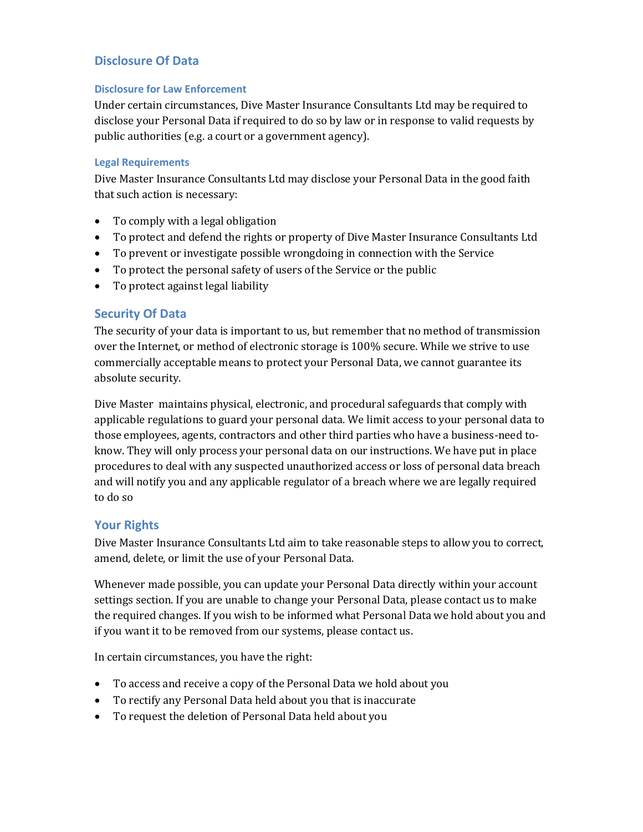# **Disclosure Of Data**

#### **Disclosure for Law Enforcement**

Under certain circumstances, Dive Master Insurance Consultants Ltd may be required to disclose your Personal Data if required to do so by law or in response to valid requests by public authorities (e.g. a court or a government agency).

### **Legal Requirements**

Dive Master Insurance Consultants Ltd may disclose your Personal Data in the good faith that such action is necessary:

- To comply with a legal obligation
- To protect and defend the rights or property of Dive Master Insurance Consultants Ltd
- To prevent or investigate possible wrongdoing in connection with the Service
- To protect the personal safety of users of the Service or the public
- To protect against legal liability

## **Security Of Data**

The security of your data is important to us, but remember that no method of transmission over the Internet, or method of electronic storage is 100% secure. While we strive to use commercially acceptable means to protect your Personal Data, we cannot guarantee its absolute security.

Dive Master maintains physical, electronic, and procedural safeguards that comply with applicable regulations to guard your personal data. We limit access to your personal data to those employees, agents, contractors and other third parties who have a business-need toknow. They will only process your personal data on our instructions. We have put in place procedures to deal with any suspected unauthorized access or loss of personal data breach and will notify you and any applicable regulator of a breach where we are legally required to do so

# **Your Rights**

Dive Master Insurance Consultants Ltd aim to take reasonable steps to allow you to correct, amend, delete, or limit the use of your Personal Data.

Whenever made possible, you can update your Personal Data directly within your account settings section. If you are unable to change your Personal Data, please contact us to make the required changes. If you wish to be informed what Personal Data we hold about you and if you want it to be removed from our systems, please contact us.

In certain circumstances, you have the right:

- To access and receive a copy of the Personal Data we hold about you
- To rectify any Personal Data held about you that is inaccurate
- To request the deletion of Personal Data held about you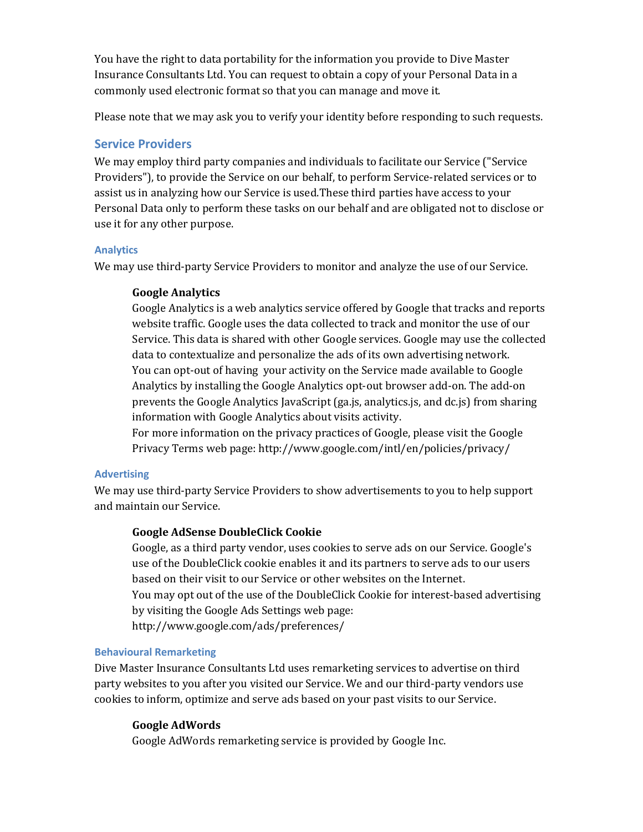You have the right to data portability for the information you provide to Dive Master Insurance Consultants Ltd. You can request to obtain a copy of your Personal Data in a commonly used electronic format so that you can manage and move it.

Please note that we may ask you to verify your identity before responding to such requests.

# **Service Providers**

We may employ third party companies and individuals to facilitate our Service ("Service Providers"), to provide the Service on our behalf, to perform Service-related services or to assist us in analyzing how our Service is used.These third parties have access to your Personal Data only to perform these tasks on our behalf and are obligated not to disclose or use it for any other purpose.

### **Analytics**

We may use third-party Service Providers to monitor and analyze the use of our Service.

## **Google Analytics**

Google Analytics is a web analytics service offered by Google that tracks and reports website traffic. Google uses the data collected to track and monitor the use of our Service. This data is shared with other Google services. Google may use the collected data to contextualize and personalize the ads of its own advertising network. You can opt-out of having your activity on the Service made available to Google Analytics by installing the Google Analytics opt-out browser add-on. The add-on prevents the Google Analytics JavaScript (ga.js, analytics.js, and dc.js) from sharing information with Google Analytics about visits activity.

For more information on the privacy practices of Google, please visit the Google Privacy Terms web page:<http://www.google.com/intl/en/policies/privacy/>

### **Advertising**

We may use third-party Service Providers to show advertisements to you to help support and maintain our Service.

### **Google AdSense DoubleClick Cookie**

Google, as a third party vendor, uses cookies to serve ads on our Service. Google's use of the DoubleClick cookie enables it and its partners to serve ads to our users based on their visit to our Service or other websites on the Internet.

You may opt out of the use of the DoubleClick Cookie for interest-based advertising by visiting the Google Ads Settings web page:

<http://www.google.com/ads/preferences/>

### **Behavioural Remarketing**

Dive Master Insurance Consultants Ltd uses remarketing services to advertise on third party websites to you after you visited our Service. We and our third-party vendors use cookies to inform, optimize and serve ads based on your past visits to our Service.

### **Google AdWords**

Google AdWords remarketing service is provided by Google Inc.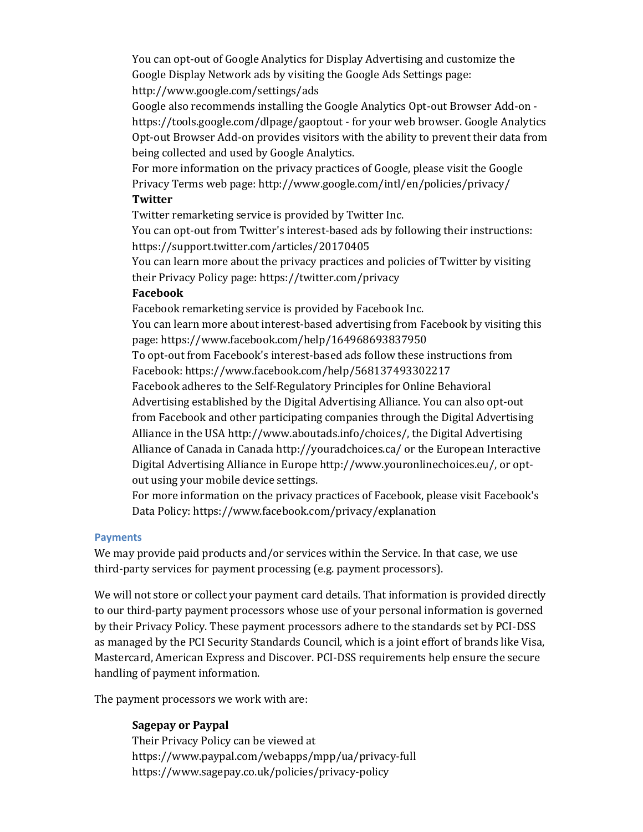You can opt-out of Google Analytics for Display Advertising and customize the Google Display Network ads by visiting the Google Ads Settings page: <http://www.google.com/settings/ads>

Google also recommends installing the Google Analytics Opt-out Browser Add-on <https://tools.google.com/dlpage/gaoptout> - for your web browser. Google Analytics Opt-out Browser Add-on provides visitors with the ability to prevent their data from being collected and used by Google Analytics.

For more information on the privacy practices of Google, please visit the Google Privacy Terms web page:<http://www.google.com/intl/en/policies/privacy/>

#### **Twitter**

Twitter remarketing service is provided by Twitter Inc.

You can opt-out from Twitter's interest-based ads by following their instructions: <https://support.twitter.com/articles/20170405>

You can learn more about the privacy practices and policies of Twitter by visiting their Privacy Policy page[: https://twitter.com/privacy](https://twitter.com/privacy)

#### **Facebook**

Facebook remarketing service is provided by Facebook Inc. You can learn more about interest-based advertising from Facebook by visiting this page[: https://www.facebook.com/help/164968693837950](https://www.facebook.com/help/164968693837950) To opt-out from Facebook's interest-based ads follow these instructions from Facebook[: https://www.facebook.com/help/568137493302217](https://www.facebook.com/help/568137493302217) Facebook adheres to the Self-Regulatory Principles for Online Behavioral Advertising established by the Digital Advertising Alliance. You can also opt-out from Facebook and other participating companies through the Digital Advertising Alliance in the USA [http://www.aboutads.info/choices/,](http://www.aboutads.info/choices/) the Digital Advertising Alliance of Canada in Canada<http://youradchoices.ca/> or the European Interactive Digital Advertising Alliance in Europ[e http://www.youronlinechoices.eu/,](http://www.youronlinechoices.eu/) or optout using your mobile device settings.

For more information on the privacy practices of Facebook, please visit Facebook's Data Policy:<https://www.facebook.com/privacy/explanation>

#### **Payments**

We may provide paid products and/or services within the Service. In that case, we use third-party services for payment processing (e.g. payment processors).

We will not store or collect your payment card details. That information is provided directly to our third-party payment processors whose use of your personal information is governed by their Privacy Policy. These payment processors adhere to the standards set by PCI-DSS as managed by the PCI Security Standards Council, which is a joint effort of brands like Visa, Mastercard, American Express and Discover. PCI-DSS requirements help ensure the secure handling of payment information.

The payment processors we work with are:

### **Sagepay or Paypal**

Their Privacy Policy can be viewed at <https://www.paypal.com/webapps/mpp/ua/privacy-full> https://www.sagepay.co.uk/policies/privacy-policy